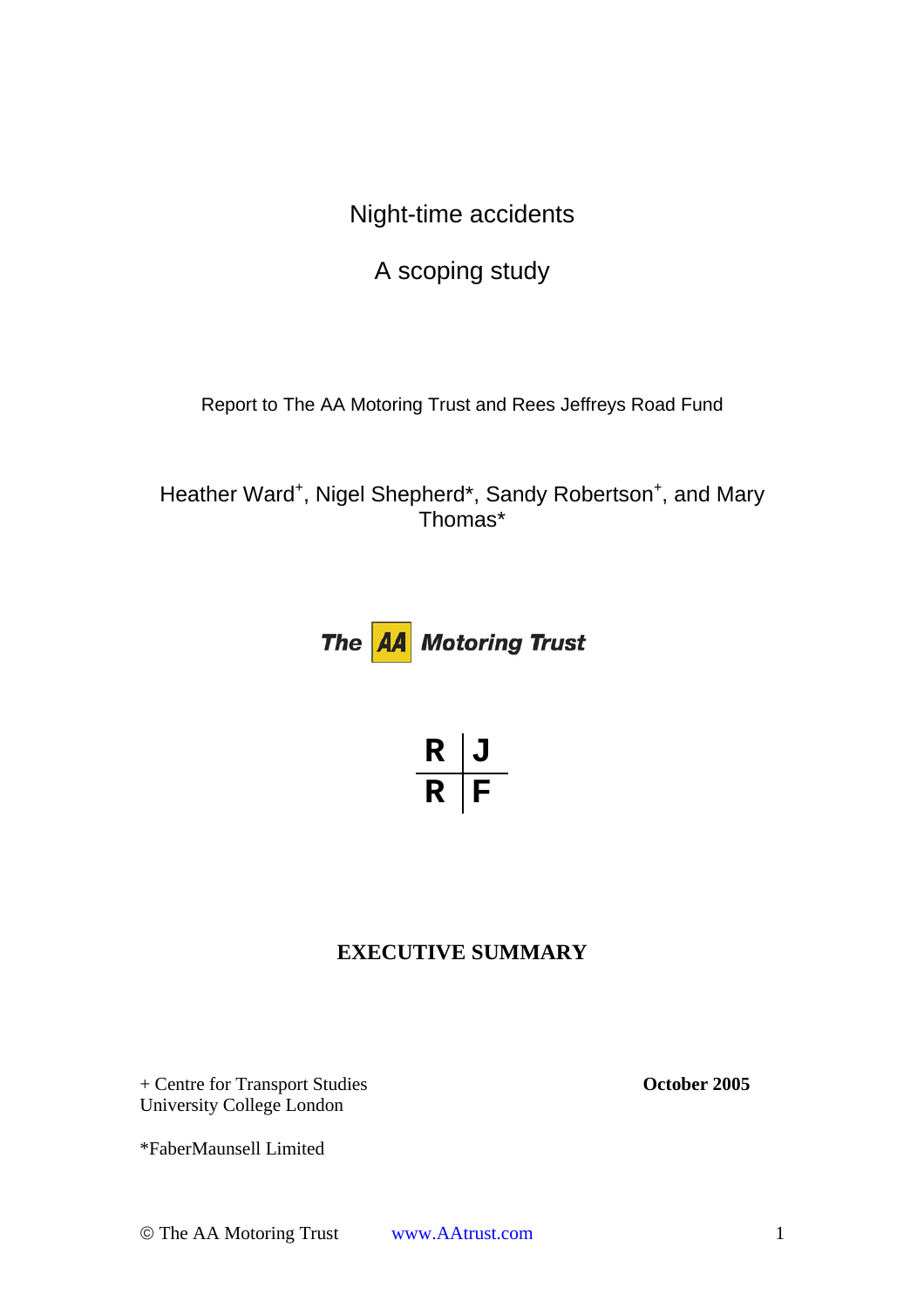Night-time accidents

A scoping study

Report to The AA Motoring Trust and Rees Jeffreys Road Fund

Heather Ward<sup>+</sup>, Nigel Shepherd\*, Sandy Robertson<sup>+</sup>, and Mary Thomas\*



$$
\frac{R}{R}\boxed{J}
$$

# **EXECUTIVE SUMMARY**

+ Centre for Transport Studies **October 2005**  University College London

\*FaberMaunsell Limited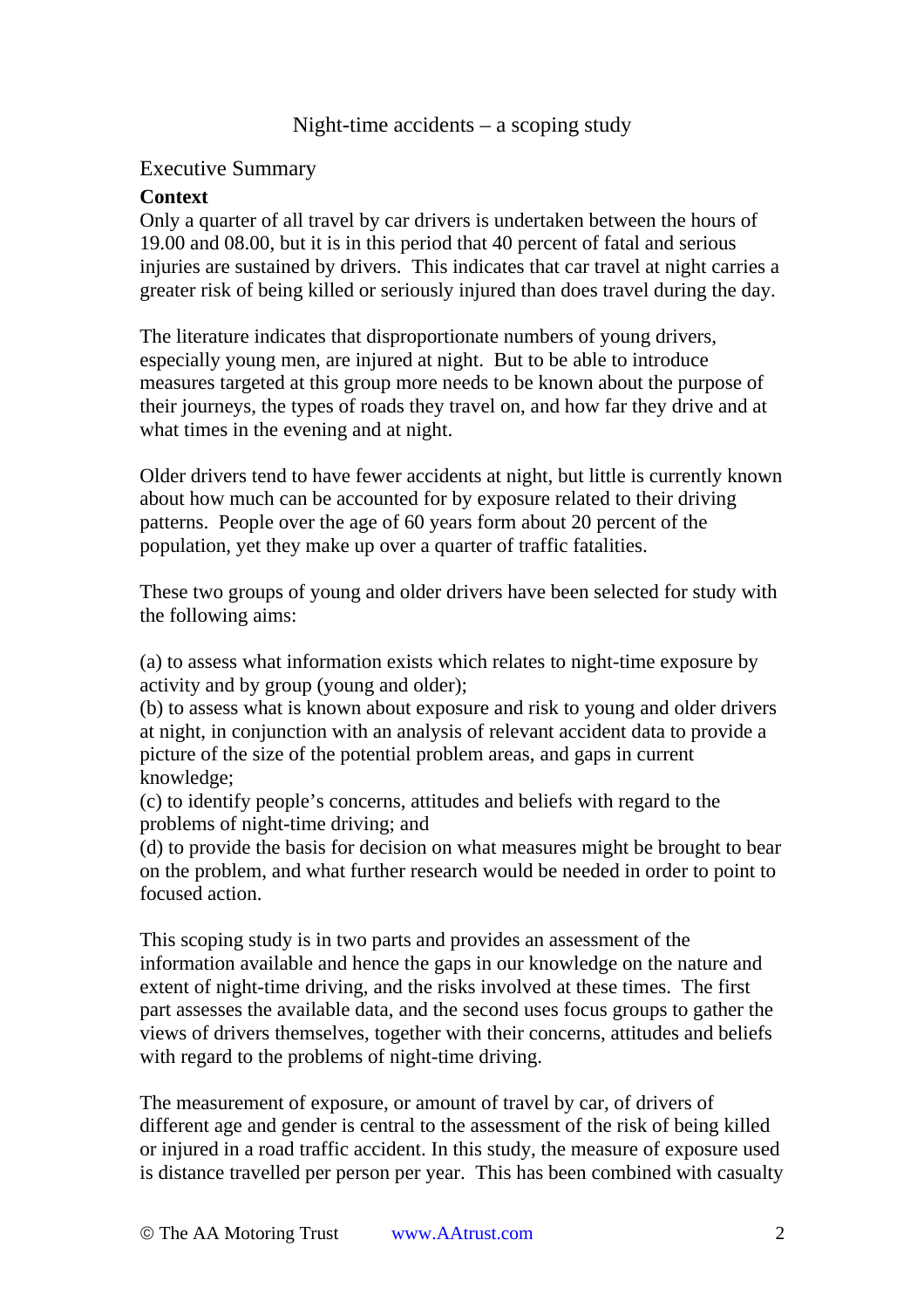# Night-time accidents – a scoping study

### Executive Summary

#### **Context**

Only a quarter of all travel by car drivers is undertaken between the hours of 19.00 and 08.00, but it is in this period that 40 percent of fatal and serious injuries are sustained by drivers. This indicates that car travel at night carries a greater risk of being killed or seriously injured than does travel during the day.

The literature indicates that disproportionate numbers of young drivers, especially young men, are injured at night. But to be able to introduce measures targeted at this group more needs to be known about the purpose of their journeys, the types of roads they travel on, and how far they drive and at what times in the evening and at night.

Older drivers tend to have fewer accidents at night, but little is currently known about how much can be accounted for by exposure related to their driving patterns. People over the age of 60 years form about 20 percent of the population, yet they make up over a quarter of traffic fatalities.

These two groups of young and older drivers have been selected for study with the following aims:

(a) to assess what information exists which relates to night-time exposure by activity and by group (young and older);

(b) to assess what is known about exposure and risk to young and older drivers at night, in conjunction with an analysis of relevant accident data to provide a picture of the size of the potential problem areas, and gaps in current knowledge;

(c) to identify people's concerns, attitudes and beliefs with regard to the problems of night-time driving; and

(d) to provide the basis for decision on what measures might be brought to bear on the problem, and what further research would be needed in order to point to focused action.

This scoping study is in two parts and provides an assessment of the information available and hence the gaps in our knowledge on the nature and extent of night-time driving, and the risks involved at these times. The first part assesses the available data, and the second uses focus groups to gather the views of drivers themselves, together with their concerns, attitudes and beliefs with regard to the problems of night-time driving.

The measurement of exposure, or amount of travel by car, of drivers of different age and gender is central to the assessment of the risk of being killed or injured in a road traffic accident. In this study, the measure of exposure used is distance travelled per person per year. This has been combined with casualty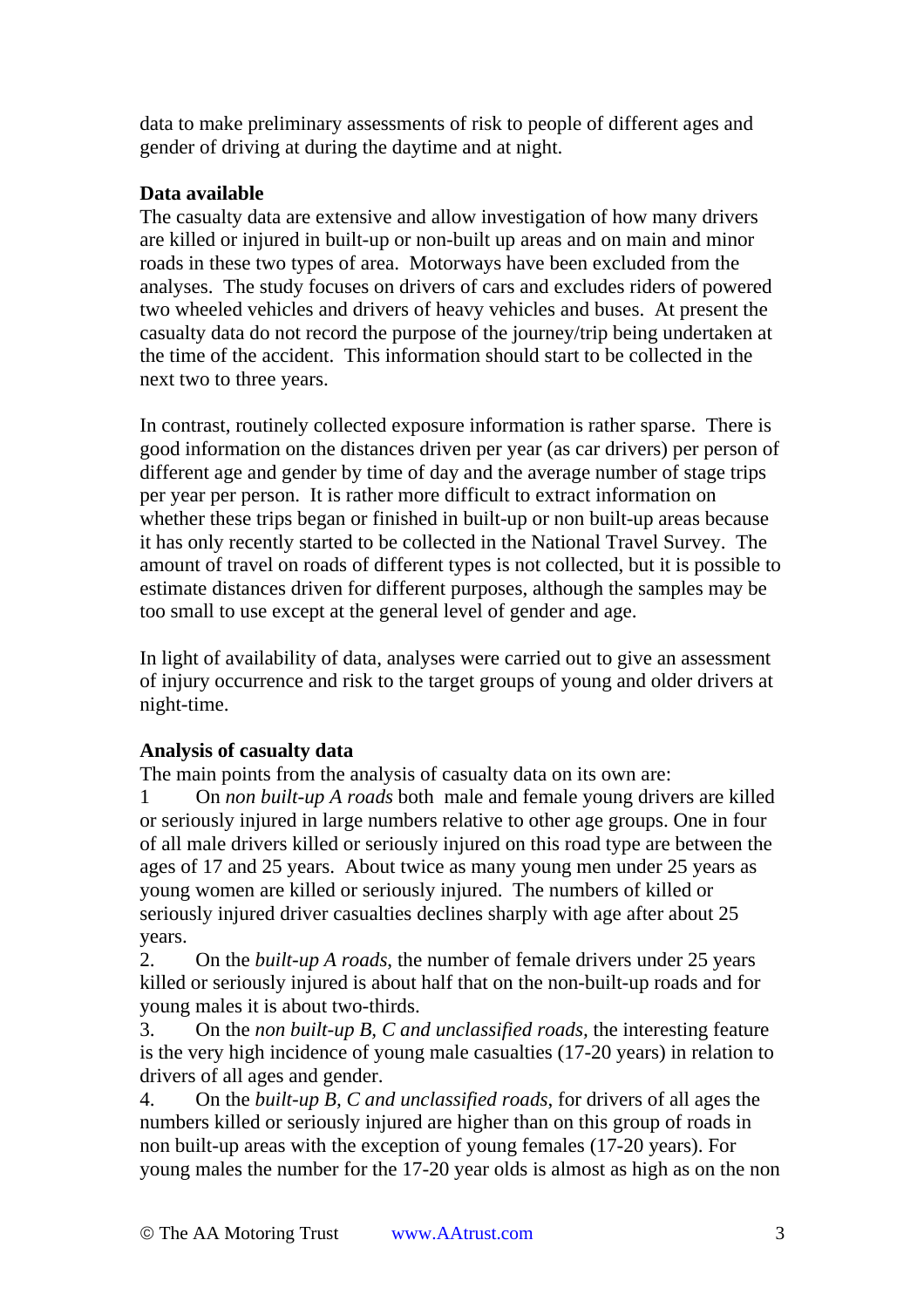data to make preliminary assessments of risk to people of different ages and gender of driving at during the daytime and at night.

# **Data available**

The casualty data are extensive and allow investigation of how many drivers are killed or injured in built-up or non-built up areas and on main and minor roads in these two types of area. Motorways have been excluded from the analyses. The study focuses on drivers of cars and excludes riders of powered two wheeled vehicles and drivers of heavy vehicles and buses. At present the casualty data do not record the purpose of the journey/trip being undertaken at the time of the accident. This information should start to be collected in the next two to three years.

In contrast, routinely collected exposure information is rather sparse. There is good information on the distances driven per year (as car drivers) per person of different age and gender by time of day and the average number of stage trips per year per person. It is rather more difficult to extract information on whether these trips began or finished in built-up or non built-up areas because it has only recently started to be collected in the National Travel Survey. The amount of travel on roads of different types is not collected, but it is possible to estimate distances driven for different purposes, although the samples may be too small to use except at the general level of gender and age.

In light of availability of data, analyses were carried out to give an assessment of injury occurrence and risk to the target groups of young and older drivers at night-time.

# **Analysis of casualty data**

The main points from the analysis of casualty data on its own are:

1 On *non built-up A roads* both male and female young drivers are killed or seriously injured in large numbers relative to other age groups. One in four of all male drivers killed or seriously injured on this road type are between the ages of 17 and 25 years. About twice as many young men under 25 years as young women are killed or seriously injured. The numbers of killed or seriously injured driver casualties declines sharply with age after about 25 years.

2. On the *built-up A roads*, the number of female drivers under 25 years killed or seriously injured is about half that on the non-built-up roads and for young males it is about two-thirds.

3. On the *non built-up B, C and unclassified roads,* the interesting feature is the very high incidence of young male casualties (17-20 years) in relation to drivers of all ages and gender.

4. On the *built-up B, C and unclassified roads*, for drivers of all ages the numbers killed or seriously injured are higher than on this group of roads in non built-up areas with the exception of young females (17-20 years). For young males the number for the 17-20 year olds is almost as high as on the non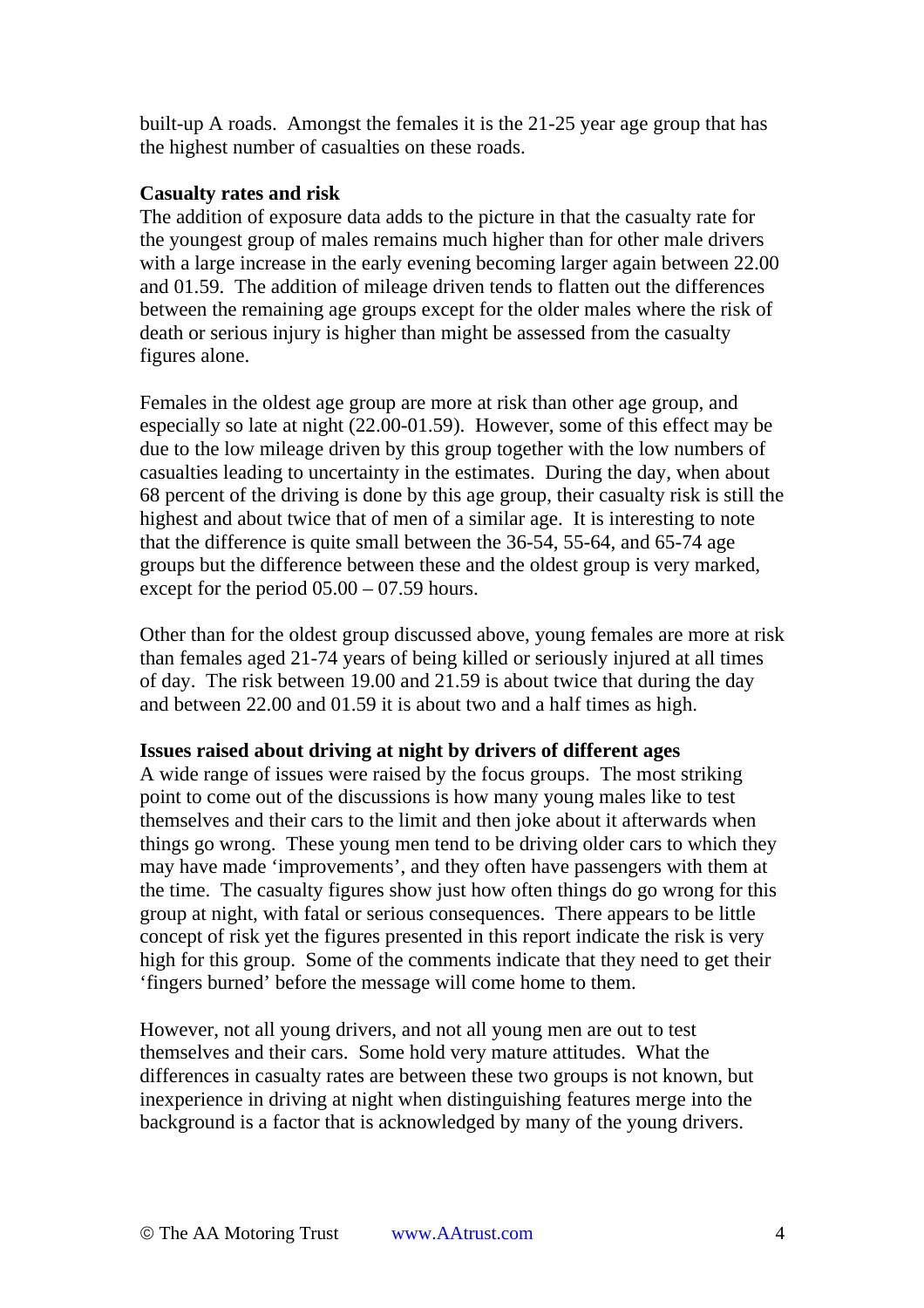built-up A roads. Amongst the females it is the 21-25 year age group that has the highest number of casualties on these roads.

#### **Casualty rates and risk**

The addition of exposure data adds to the picture in that the casualty rate for the youngest group of males remains much higher than for other male drivers with a large increase in the early evening becoming larger again between 22.00 and 01.59. The addition of mileage driven tends to flatten out the differences between the remaining age groups except for the older males where the risk of death or serious injury is higher than might be assessed from the casualty figures alone.

Females in the oldest age group are more at risk than other age group, and especially so late at night (22.00-01.59). However, some of this effect may be due to the low mileage driven by this group together with the low numbers of casualties leading to uncertainty in the estimates. During the day, when about 68 percent of the driving is done by this age group, their casualty risk is still the highest and about twice that of men of a similar age. It is interesting to note that the difference is quite small between the 36-54, 55-64, and 65-74 age groups but the difference between these and the oldest group is very marked, except for the period 05.00 – 07.59 hours.

Other than for the oldest group discussed above, young females are more at risk than females aged 21-74 years of being killed or seriously injured at all times of day. The risk between 19.00 and 21.59 is about twice that during the day and between 22.00 and 01.59 it is about two and a half times as high.

#### **Issues raised about driving at night by drivers of different ages**

A wide range of issues were raised by the focus groups. The most striking point to come out of the discussions is how many young males like to test themselves and their cars to the limit and then joke about it afterwards when things go wrong. These young men tend to be driving older cars to which they may have made 'improvements', and they often have passengers with them at the time. The casualty figures show just how often things do go wrong for this group at night, with fatal or serious consequences. There appears to be little concept of risk yet the figures presented in this report indicate the risk is very high for this group. Some of the comments indicate that they need to get their 'fingers burned' before the message will come home to them.

However, not all young drivers, and not all young men are out to test themselves and their cars. Some hold very mature attitudes. What the differences in casualty rates are between these two groups is not known, but inexperience in driving at night when distinguishing features merge into the background is a factor that is acknowledged by many of the young drivers.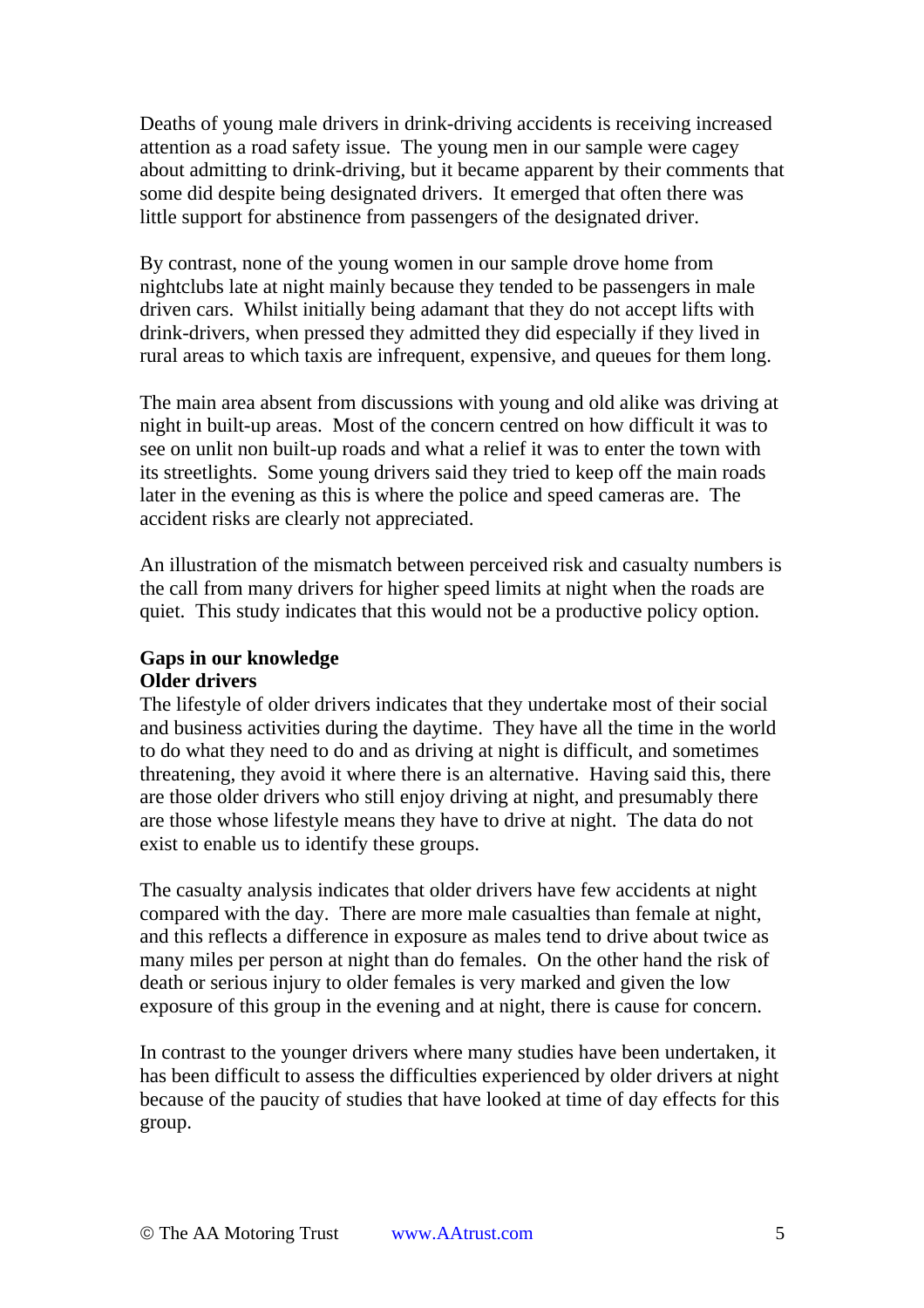Deaths of young male drivers in drink-driving accidents is receiving increased attention as a road safety issue. The young men in our sample were cagey about admitting to drink-driving, but it became apparent by their comments that some did despite being designated drivers. It emerged that often there was little support for abstinence from passengers of the designated driver.

By contrast, none of the young women in our sample drove home from nightclubs late at night mainly because they tended to be passengers in male driven cars. Whilst initially being adamant that they do not accept lifts with drink-drivers, when pressed they admitted they did especially if they lived in rural areas to which taxis are infrequent, expensive, and queues for them long.

The main area absent from discussions with young and old alike was driving at night in built-up areas. Most of the concern centred on how difficult it was to see on unlit non built-up roads and what a relief it was to enter the town with its streetlights. Some young drivers said they tried to keep off the main roads later in the evening as this is where the police and speed cameras are. The accident risks are clearly not appreciated.

An illustration of the mismatch between perceived risk and casualty numbers is the call from many drivers for higher speed limits at night when the roads are quiet. This study indicates that this would not be a productive policy option.

#### **Gaps in our knowledge Older drivers**

The lifestyle of older drivers indicates that they undertake most of their social and business activities during the daytime. They have all the time in the world to do what they need to do and as driving at night is difficult, and sometimes threatening, they avoid it where there is an alternative. Having said this, there are those older drivers who still enjoy driving at night, and presumably there are those whose lifestyle means they have to drive at night. The data do not exist to enable us to identify these groups.

The casualty analysis indicates that older drivers have few accidents at night compared with the day. There are more male casualties than female at night, and this reflects a difference in exposure as males tend to drive about twice as many miles per person at night than do females. On the other hand the risk of death or serious injury to older females is very marked and given the low exposure of this group in the evening and at night, there is cause for concern.

In contrast to the younger drivers where many studies have been undertaken, it has been difficult to assess the difficulties experienced by older drivers at night because of the paucity of studies that have looked at time of day effects for this group.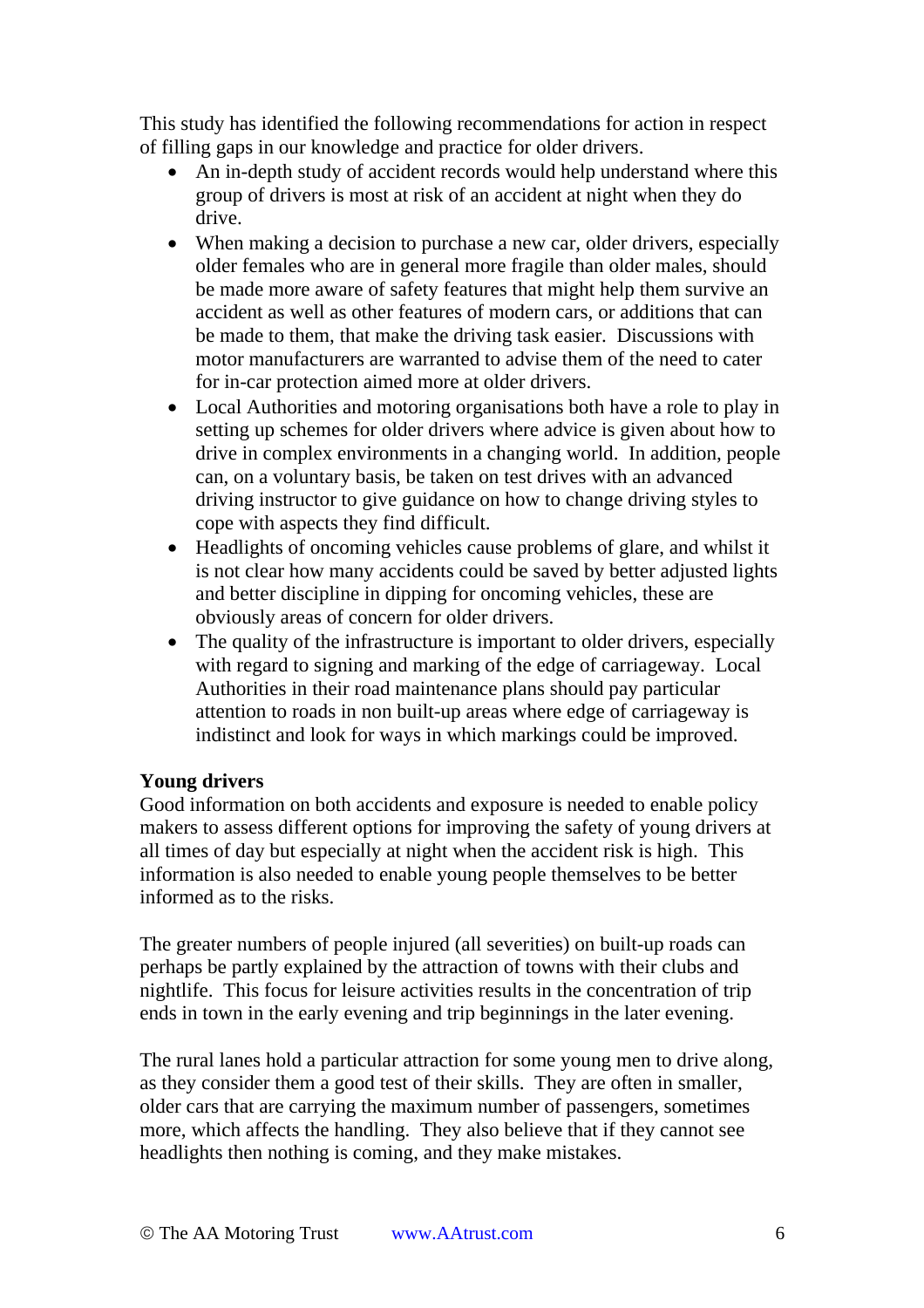This study has identified the following recommendations for action in respect of filling gaps in our knowledge and practice for older drivers.

- An in-depth study of accident records would help understand where this group of drivers is most at risk of an accident at night when they do drive.
- When making a decision to purchase a new car, older drivers, especially older females who are in general more fragile than older males, should be made more aware of safety features that might help them survive an accident as well as other features of modern cars, or additions that can be made to them, that make the driving task easier. Discussions with motor manufacturers are warranted to advise them of the need to cater for in-car protection aimed more at older drivers.
- Local Authorities and motoring organisations both have a role to play in setting up schemes for older drivers where advice is given about how to drive in complex environments in a changing world. In addition, people can, on a voluntary basis, be taken on test drives with an advanced driving instructor to give guidance on how to change driving styles to cope with aspects they find difficult.
- Headlights of oncoming vehicles cause problems of glare, and whilst it is not clear how many accidents could be saved by better adjusted lights and better discipline in dipping for oncoming vehicles, these are obviously areas of concern for older drivers.
- The quality of the infrastructure is important to older drivers, especially with regard to signing and marking of the edge of carriageway. Local Authorities in their road maintenance plans should pay particular attention to roads in non built-up areas where edge of carriageway is indistinct and look for ways in which markings could be improved.

# **Young drivers**

Good information on both accidents and exposure is needed to enable policy makers to assess different options for improving the safety of young drivers at all times of day but especially at night when the accident risk is high. This information is also needed to enable young people themselves to be better informed as to the risks.

The greater numbers of people injured (all severities) on built-up roads can perhaps be partly explained by the attraction of towns with their clubs and nightlife. This focus for leisure activities results in the concentration of trip ends in town in the early evening and trip beginnings in the later evening.

The rural lanes hold a particular attraction for some young men to drive along, as they consider them a good test of their skills. They are often in smaller, older cars that are carrying the maximum number of passengers, sometimes more, which affects the handling. They also believe that if they cannot see headlights then nothing is coming, and they make mistakes.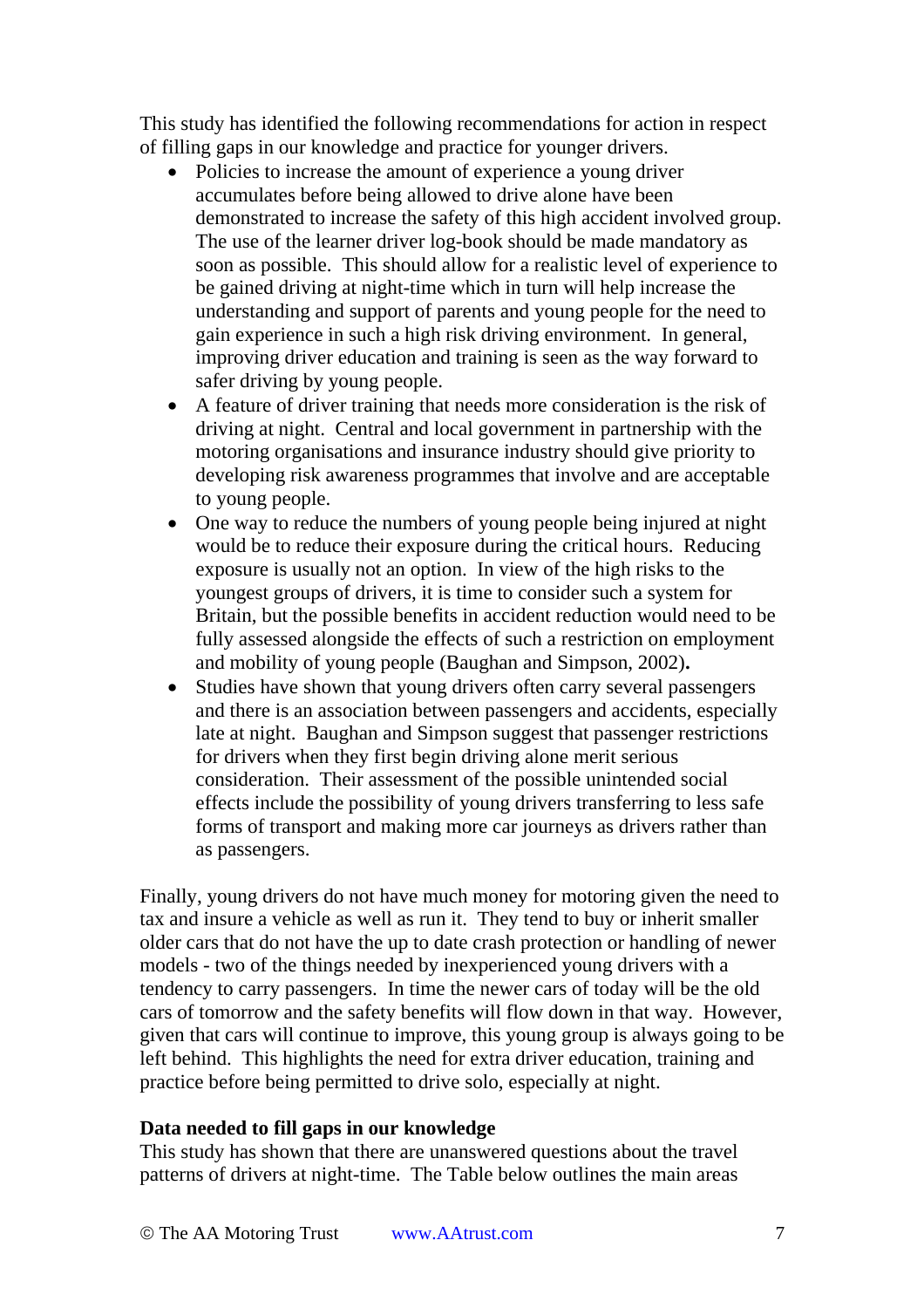This study has identified the following recommendations for action in respect of filling gaps in our knowledge and practice for younger drivers.

- Policies to increase the amount of experience a young driver accumulates before being allowed to drive alone have been demonstrated to increase the safety of this high accident involved group. The use of the learner driver log-book should be made mandatory as soon as possible. This should allow for a realistic level of experience to be gained driving at night-time which in turn will help increase the understanding and support of parents and young people for the need to gain experience in such a high risk driving environment. In general, improving driver education and training is seen as the way forward to safer driving by young people.
- A feature of driver training that needs more consideration is the risk of driving at night. Central and local government in partnership with the motoring organisations and insurance industry should give priority to developing risk awareness programmes that involve and are acceptable to young people.
- One way to reduce the numbers of young people being injured at night would be to reduce their exposure during the critical hours. Reducing exposure is usually not an option. In view of the high risks to the youngest groups of drivers, it is time to consider such a system for Britain, but the possible benefits in accident reduction would need to be fully assessed alongside the effects of such a restriction on employment and mobility of young people (Baughan and Simpson, 2002)**.**
- Studies have shown that young drivers often carry several passengers and there is an association between passengers and accidents, especially late at night. Baughan and Simpson suggest that passenger restrictions for drivers when they first begin driving alone merit serious consideration. Their assessment of the possible unintended social effects include the possibility of young drivers transferring to less safe forms of transport and making more car journeys as drivers rather than as passengers.

Finally, young drivers do not have much money for motoring given the need to tax and insure a vehicle as well as run it. They tend to buy or inherit smaller older cars that do not have the up to date crash protection or handling of newer models - two of the things needed by inexperienced young drivers with a tendency to carry passengers. In time the newer cars of today will be the old cars of tomorrow and the safety benefits will flow down in that way. However, given that cars will continue to improve, this young group is always going to be left behind. This highlights the need for extra driver education, training and practice before being permitted to drive solo, especially at night.

#### **Data needed to fill gaps in our knowledge**

This study has shown that there are unanswered questions about the travel patterns of drivers at night-time. The Table below outlines the main areas